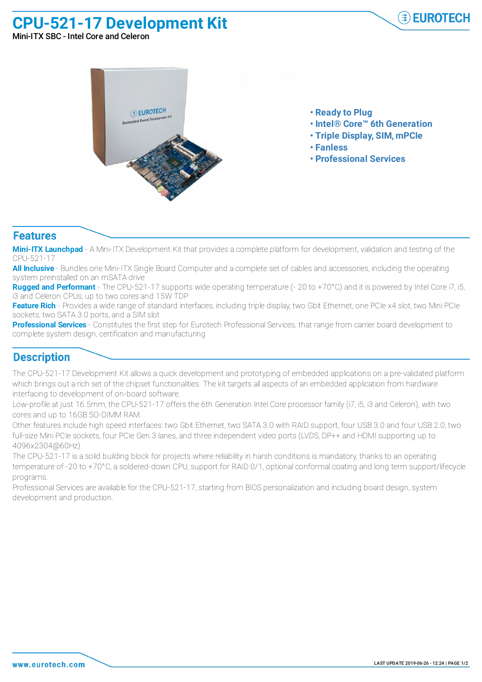## **CPU-521-17 Development Kit**



Mini-ITX SBC - Intel Core and Celeron



- **• Ready to Plug**
- **• Intel® Core™ 6th Generation**
- **• Triple Display, SIM, mPCIe**
- **• Fanless**
- **• Professional Services**

## **Features**

**Mini-ITX Launchpad** - A Mini-ITX Development Kit that provides a complete platform for development, validation and testing of the CPU-521-17

**All Inclusive** - Bundles one Mini-ITX Single Board Computer and a complete set of cables and accessories, including the operating system preinstalled on an mSATA drive

**Rugged and Performant** - The CPU-521-17 supports wide operating temperature (- 20 to +70°C) and it is powered by Intel Core i7, i5, i3 and Celeron CPUs, up to two cores and 15W TDP

**Feature Rich** - Provides a wide range of standard interfaces, including triple display, two Gbit Ethernet, one PCIe x4 slot, two Mini PCIe sockets, two SATA 3.0 ports, and a SIM slot

**Professional Services** - Constitutes the first step for Eurotech Professional Services, that range from carrier board development to complete system design, certification and manufacturing

## **Description**

The CPU-521-17 Development Kit allows a quick development and prototyping of embedded applications on a pre-validated platform which brings out a rich set of the chipset functionalities. The kit targets all aspects of an embedded application from hardware interfacing to development of on-board software.

Low-profile at just 16.5mm, the CPU-521-17 offers the 6th Generation Intel Core processor family (i7, i5, i3 and Celeron), with two cores and up to 16GB SO-DIMM RAM.

Other features include high speed interfaces: two Gbit Ethernet, two SATA 3.0 with RAID support, four USB 3.0 and four USB 2.0, two full-size Mini PCIe sockets, four PCIe Gen 3 lanes, and three independent video ports (LVDS, DP++ and HDMI supporting up to 4096x2304@60Hz).

The CPU-521-17 is a solid building block for projects where reliability in harsh conditions is mandatory, thanks to an operating temperature of -20 to +70°C, a soldered-down CPU, support for RAID 0/1, optional conformal coating and long term support/lifecycle programs.

Professional Services are available for the CPU-521-17, starting from BIOS personalization and including board design, system development and production.